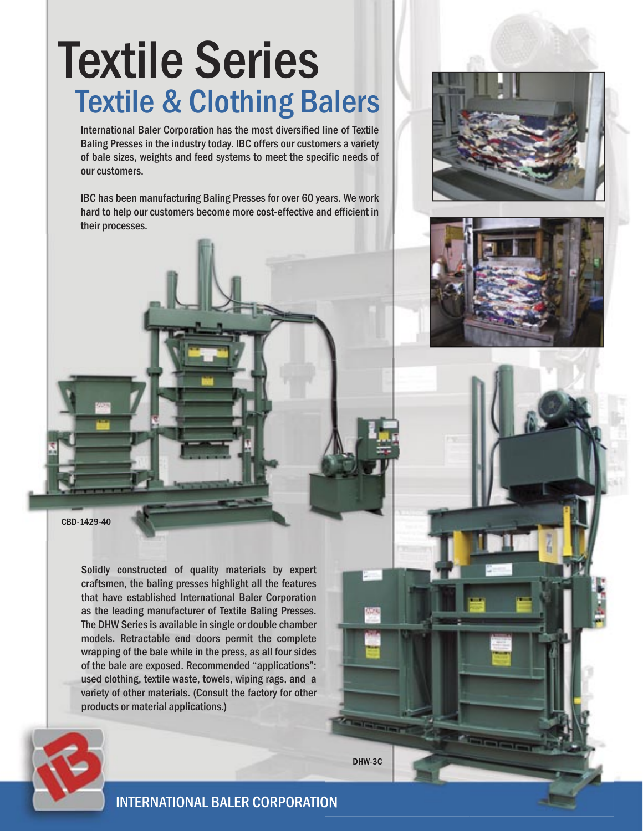## Textile Series **Textile & Clothing Balers**

International Baler Corporation has the most diversified line of Textile Baling Presses in the industry today. IBC offers our customers a variety of bale sizes, weights and feed systems to meet the specific needs of our customers.

IBC has been manufacturing Baling Presses for over 60 years. We work hard to help our customers become more cost-effective and efficient in their processes.



Solidly constructed of quality materials by expert craftsmen, the baling presses highlight all the features that have established International Baler Corporation as the leading manufacturer of Textile Baling Presses. The DHW Series is available in single or double chamber models. Retractable end doors permit the complete wrapping of the bale while in the press, as all four sides of the bale are exposed. Recommended "applications": used clothing, textile waste, towels, wiping rags, and a variety of other materials. (Consult the factory for other products or material applications.)





INTERNATIONAL BALER CORPORATION

DHW-3C